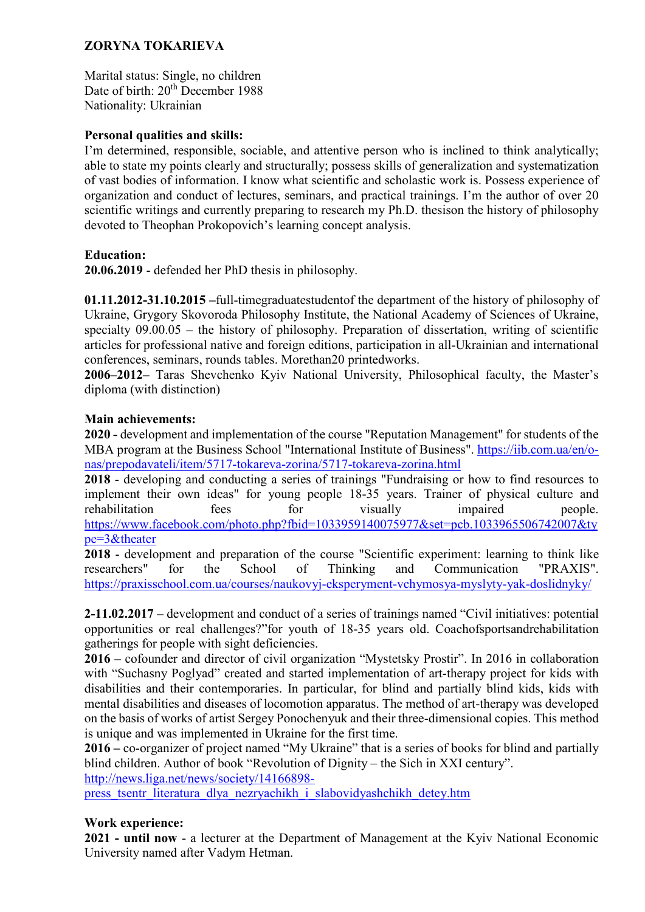# **ZORYNA TOKARIEVA**

Marital status: Single, no children Date of birth: 20<sup>th</sup> December 1988 Nationality: Ukrainian

### **Personal qualities and skills:**

I'm determined, responsible, sociable, and attentive person who is inclined to think analytically; able to state my points clearly and structurally; possess skills of generalization and systematization of vast bodies of information. I know what scientific and scholastic work is. Possess experience of organization and conduct of lectures, seminars, and practical trainings. I'm the author of over 20 scientific writings and currently preparing to research my Ph.D. thesison the history of philosophy devoted to Theophan Prokopovich's learning concept analysis.

#### **Education:**

**20.06.2019** - defended her PhD thesis in philosophy.

**01.11.2012-31.10.2015 –**full-timegraduatestudentof the department of the history of philosophy of Ukraine, Grygory Skovoroda Philosophy Institute, the National Academy of Sciences of Ukraine, specialty 09.00.05 – the history of philosophy. Preparation of dissertation, writing of scientific articles for professional native and foreign editions, participation in all-Ukrainian and international conferences, seminars, rounds tables. Morethan20 printedworks.

**2006–2012–** Taras Shevchenko Kyiv National University, Philosophical faculty, the Master's diploma (with distinction)

#### **Main achievements:**

**2020 -** development and implementation of the course "Reputation Management" for students of the MBA program at the Business School "International Institute of Business". [https://iib.com.ua/en/o](https://iib.com.ua/en/o-nas/prepodavateli/item/5717-tokareva-zorina/5717-tokareva-zorina.html)[nas/prepodavateli/item/5717-tokareva-zorina/5717-tokareva-zorina.html](https://iib.com.ua/en/o-nas/prepodavateli/item/5717-tokareva-zorina/5717-tokareva-zorina.html)

**2018** - developing and conducting a series of trainings "Fundraising or how to find resources to implement their own ideas" for young people 18-35 years. Trainer of physical culture and rehabilitation fees for visually impaired people. [https://www.facebook.com/photo.php?fbid=1033959140075977&set=pcb.1033965506742007&ty](https://www.facebook.com/photo.php?fbid=1033959140075977&set=pcb.1033965506742007&type=3&theater) [pe=3&theater](https://www.facebook.com/photo.php?fbid=1033959140075977&set=pcb.1033965506742007&type=3&theater)

**2018** - development and preparation of the course "Scientific experiment: learning to think like researchers" for the School of Thinking and Communication "PRAXIS". <https://praxisschool.com.ua/courses/naukovyj-eksperyment-vchymosya-myslyty-yak-doslidnyky/>

**2-11.02.2017 –** development and conduct of a series of trainings named "Civil initiatives: potential opportunities or real challenges?"for youth of 18-35 years old. Coachofsportsandrehabilitation gatherings for people with sight deficiencies.

**2016 –** cofounder and director of civil organization "Mystetsky Prostir". In 2016 in collaboration with "Suchasny Poglyad" created and started implementation of art-therapy project for kids with disabilities and their contemporaries. In particular, for blind and partially blind kids, kids with mental disabilities and diseases of locomotion apparatus. The method of art-therapy was developed on the basis of works of artist Sergey Ponochenyuk and their three-dimensional copies. This method is unique and was implemented in Ukraine for the first time.

**2016 –** co-organizer of project named "My Ukraine" that is a series of books for blind and partially blind children. Author of book "Revolution of Dignity – the Sich in ХХІ century".

[http://news.liga.net/news/society/14166898-](http://news.liga.net/news/society/14166898-press_tsentr_literatura_dlya_nezryachikh_i_slabovidyashchikh_detey.htm)

[press\\_tsentr\\_literatura\\_dlya\\_nezryachikh\\_i\\_slabovidyashchikh\\_detey.htm](http://news.liga.net/news/society/14166898-press_tsentr_literatura_dlya_nezryachikh_i_slabovidyashchikh_detey.htm)

## **Work experience:**

**2021 - until now** - a lecturer at the Department of Management at the Kyiv National Economic University named after Vadym Hetman.